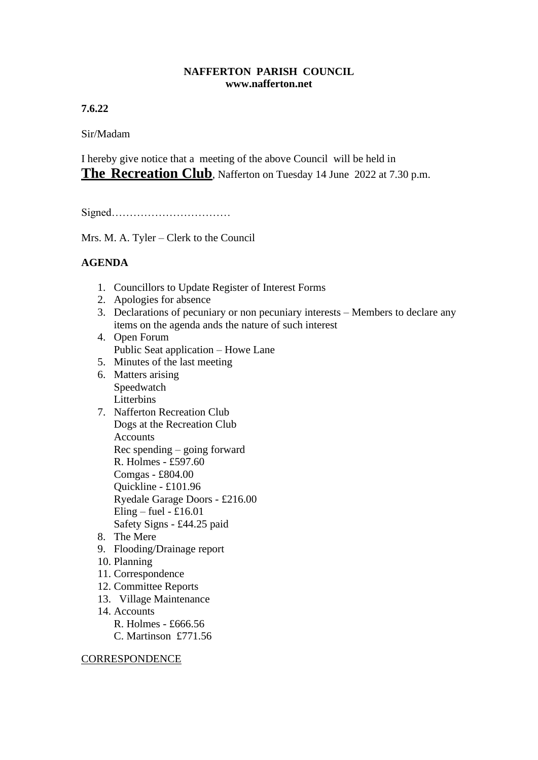## **NAFFERTON PARISH COUNCIL www.nafferton.net**

**7.6.22**

Sir/Madam

I hereby give notice that a meeting of the above Council will be held in **The Recreation Club**, Nafferton on Tuesday 14 June 2022 at 7.30 p.m.

Signed……………………………

Mrs. M. A. Tyler – Clerk to the Council

## **AGENDA**

- 1. Councillors to Update Register of Interest Forms
- 2. Apologies for absence
- 3. Declarations of pecuniary or non pecuniary interests Members to declare any items on the agenda ands the nature of such interest
- 4. Open Forum Public Seat application – Howe Lane
- 5. Minutes of the last meeting
- 6. Matters arising Speedwatch Litterbins
- 7. Nafferton Recreation Club Dogs at the Recreation Club Accounts Rec spending – going forward R. Holmes - £597.60 Comgas - £804.00 Quickline - £101.96 Ryedale Garage Doors - £216.00 Eling – fuel -  $£16.01$ Safety Signs - £44.25 paid
- 8. The Mere
- 9. Flooding/Drainage report
- 10. Planning
- 11. Correspondence
- 12. Committee Reports
- 13. Village Maintenance
- 14. Accounts
	- R. Holmes £666.56
	- C. Martinson £771.56

**CORRESPONDENCE**